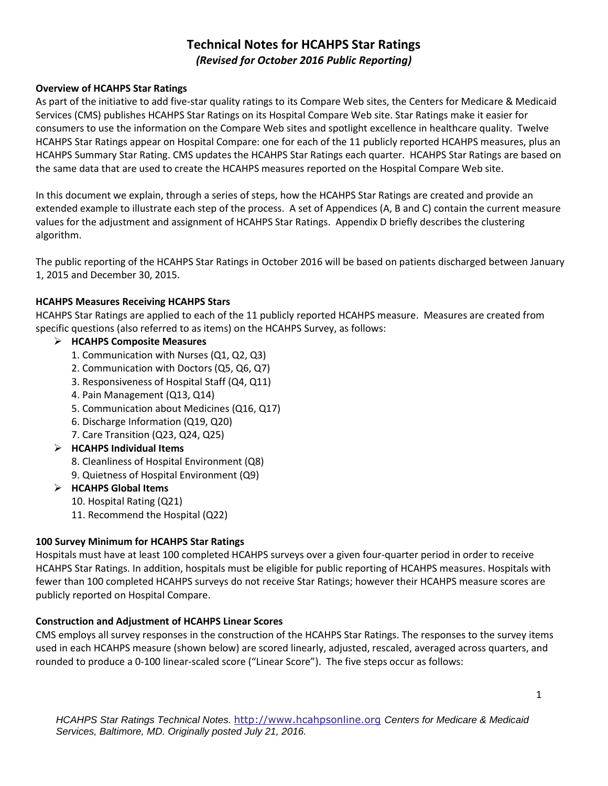# **Technical Notes for HCAHPS Star Ratings**  *(Revised for October 2016 Public Reporting)*

#### **Overview of HCAHPS Star Ratings**

As part of the initiative to add five-star quality ratings to its Compare Web sites, the Centers for Medicare & Medicaid Services (CMS) publishes HCAHPS Star Ratings on its Hospital Compare Web site. Star Ratings make it easier for consumers to use the information on the Compare Web sites and spotlight excellence in healthcare quality. Twelve HCAHPS Star Ratings appear on Hospital Compare: one for each of the 11 publicly reported HCAHPS measures, plus an HCAHPS Summary Star Rating. CMS updates the HCAHPS Star Ratings each quarter. HCAHPS Star Ratings are based on the same data that are used to create the HCAHPS measures reported on the Hospital Compare Web site.

In this document we explain, through a series of steps, how the HCAHPS Star Ratings are created and provide an extended example to illustrate each step of the process. A set of Appendices (A, B and C) contain the current measure values for the adjustment and assignment of HCAHPS Star Ratings. Appendix D briefly describes the clustering algorithm.

The public reporting of the HCAHPS Star Ratings in October 2016 will be based on patients discharged between January 1, 2015 and December 30, 2015.

#### **HCAHPS Measures Receiving HCAHPS Stars**

HCAHPS Star Ratings are applied to each of the 11 publicly reported HCAHPS measure. Measures are created from specific questions (also referred to as items) on the HCAHPS Survey, as follows:

## **HCAHPS Composite Measures**

- 1. Communication with Nurses (Q1, Q2, Q3)
- 2. Communication with Doctors (Q5, Q6, Q7)
- 3. Responsiveness of Hospital Staff (Q4, Q11)
- 4. Pain Management (Q13, Q14)
- 5. Communication about Medicines (Q16, Q17)
- 6. Discharge Information (Q19, Q20)
- 7. Care Transition (Q23, Q24, Q25)

## **HCAHPS Individual Items**

- 8. Cleanliness of Hospital Environment (Q8)
- 9. Quietness of Hospital Environment (Q9)

#### **HCAHPS Global Items**

- 10. Hospital Rating (Q21)
- 11. Recommend the Hospital (Q22)

## **100 Survey Minimum for HCAHPS Star Ratings**

Hospitals must have at least 100 completed HCAHPS surveys over a given four-quarter period in order to receive HCAHPS Star Ratings. In addition, hospitals must be eligible for public reporting of HCAHPS measures. Hospitals with fewer than 100 completed HCAHPS surveys do not receive Star Ratings; however their HCAHPS measure scores are publicly reported on Hospital Compare.

#### **Construction and Adjustment of HCAHPS Linear Scores**

CMS employs all survey responses in the construction of the HCAHPS Star Ratings. The responses to the survey items used in each HCAHPS measure (shown below) are scored linearly, adjusted, rescaled, averaged across quarters, and rounded to produce a 0-100 linear-scaled score ("Linear Score"). The five steps occur as follows: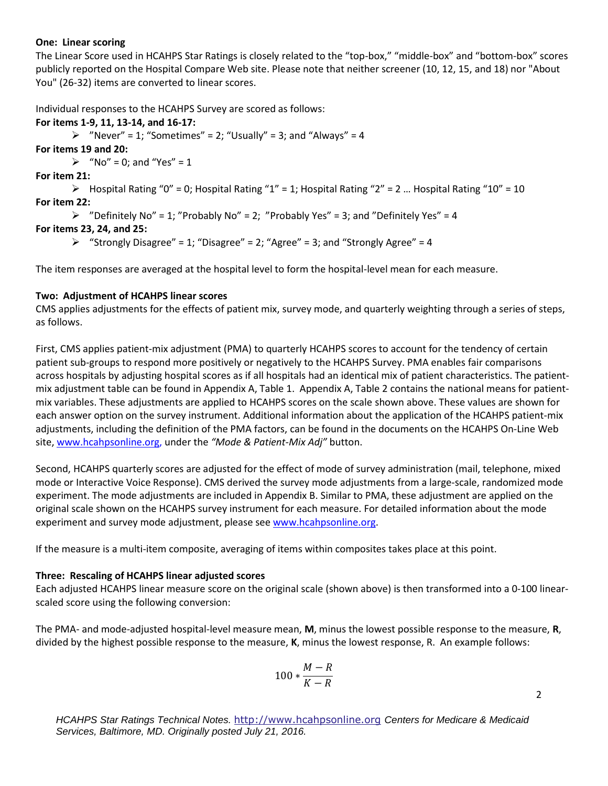#### **One: Linear scoring**

The Linear Score used in HCAHPS Star Ratings is closely related to the "top-box," "middle-box" and "bottom-box" scores publicly reported on the Hospital Compare Web site. Please note that neither screener (10, 12, 15, and 18) nor "About You" (26-32) items are converted to linear scores.

Individual responses to the HCAHPS Survey are scored as follows:

#### **For items 1-9, 11, 13-14, and 16-17:**

 $\triangleright$  "Never" = 1; "Sometimes" = 2; "Usually" = 3; and "Always" = 4

**For items 19 and 20:** 

 $\triangleright$  "No" = 0; and "Yes" = 1

**For item 21:** 

 $\triangleright$  Hospital Rating "0" = 0; Hospital Rating "1" = 1; Hospital Rating "2" = 2 ... Hospital Rating "10" = 10 **For item 22:** 

```
\triangleright "Definitely No" = 1; "Probably No" = 2; "Probably Yes" = 3; and "Definitely Yes" = 4
```
## **For items 23, 24, and 25:**

 $\triangleright$  "Strongly Disagree" = 1; "Disagree" = 2; "Agree" = 3; and "Strongly Agree" = 4

The item responses are averaged at the hospital level to form the hospital-level mean for each measure.

#### **Two: Adjustment of HCAHPS linear scores**

CMS applies adjustments for the effects of patient mix, survey mode, and quarterly weighting through a series of steps, as follows.

First, CMS applies patient-mix adjustment (PMA) to quarterly HCAHPS scores to account for the tendency of certain patient sub-groups to respond more positively or negatively to the HCAHPS Survey. PMA enables fair comparisons across hospitals by adjusting hospital scores as if all hospitals had an identical mix of patient characteristics. The patientmix adjustment table can be found in Appendix A, Table 1. Appendix A, Table 2 contains the national means for patientmix variables. These adjustments are applied to HCAHPS scores on the scale shown above. These values are shown for each answer option on the survey instrument. Additional information about the application of the HCAHPS patient-mix adjustments, including the definition of the PMA factors, can be found in the documents on the HCAHPS On-Line Web site, [www.hcahpsonline.org,](http://www.hcahpsonline.org/) under the *"Mode & Patient-Mix Adj"* button.

Second, HCAHPS quarterly scores are adjusted for the effect of mode of survey administration (mail, telephone, mixed mode or Interactive Voice Response). CMS derived the survey mode adjustments from a large-scale, randomized mode experiment. The mode adjustments are included in Appendix B. Similar to PMA, these adjustment are applied on the original scale shown on the HCAHPS survey instrument for each measure. For detailed information about the mode experiment and survey mode adjustment, please see [www.hcahpsonline.org.](http://www.hcahpsonline.org/)

If the measure is a multi-item composite, averaging of items within composites takes place at this point.

## **Three: Rescaling of HCAHPS linear adjusted scores**

Each adjusted HCAHPS linear measure score on the original scale (shown above) is then transformed into a 0-100 linearscaled score using the following conversion:

The PMA- and mode-adjusted hospital-level measure mean, **M**, minus the lowest possible response to the measure, **R**, divided by the highest possible response to the measure, **K**, minus the lowest response, R. An example follows:

$$
100*\frac{M-R}{K-R}
$$

2

*HCAHPS Star Ratings Technical Notes.* [http://www.hcahpsonline.org](http://www.hcahpsonline.org/) *Centers for Medicare & Medicaid Services, Baltimore, MD. Originally posted July 21, 2016.*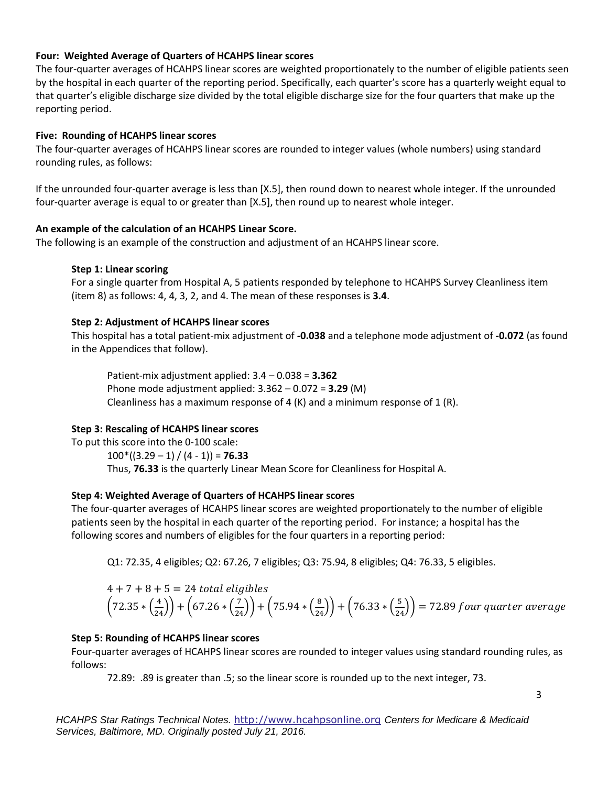#### **Four: Weighted Average of Quarters of HCAHPS linear scores**

The four-quarter averages of HCAHPS linear scores are weighted proportionately to the number of eligible patients seen by the hospital in each quarter of the reporting period. Specifically, each quarter's score has a quarterly weight equal to that quarter's eligible discharge size divided by the total eligible discharge size for the four quarters that make up the reporting period.

#### **Five: Rounding of HCAHPS linear scores**

The four-quarter averages of HCAHPS linear scores are rounded to integer values (whole numbers) using standard rounding rules, as follows:

If the unrounded four-quarter average is less than [X.5], then round down to nearest whole integer. If the unrounded four-quarter average is equal to or greater than [X.5], then round up to nearest whole integer.

#### **An example of the calculation of an HCAHPS Linear Score.**

The following is an example of the construction and adjustment of an HCAHPS linear score.

#### **Step 1: Linear scoring**

For a single quarter from Hospital A, 5 patients responded by telephone to HCAHPS Survey Cleanliness item (item 8) as follows: 4, 4, 3, 2, and 4. The mean of these responses is **3.4**.

#### **Step 2: Adjustment of HCAHPS linear scores**

This hospital has a total patient-mix adjustment of **-0.038** and a telephone mode adjustment of **-0.072** (as found in the Appendices that follow).

Patient-mix adjustment applied: 3.4 – 0.038 = **3.362**  Phone mode adjustment applied: 3.362 – 0.072 = **3.29** (M) Cleanliness has a maximum response of 4  $(K)$  and a minimum response of 1  $(R)$ .

## **Step 3: Rescaling of HCAHPS linear scores**

To put this score into the 0-100 scale: 100\*((3.29 – 1) / (4 - 1)) = **76.33** Thus, **76.33** is the quarterly Linear Mean Score for Cleanliness for Hospital A.

## **Step 4: Weighted Average of Quarters of HCAHPS linear scores**

The four-quarter averages of HCAHPS linear scores are weighted proportionately to the number of eligible patients seen by the hospital in each quarter of the reporting period. For instance; a hospital has the following scores and numbers of eligibles for the four quarters in a reporting period:

Q1: 72.35, 4 eligibles; Q2: 67.26, 7 eligibles; Q3: 75.94, 8 eligibles; Q4: 76.33, 5 eligibles.

$$
4 + 7 + 8 + 5 = 24
$$
 total eligibles  
 $\left(72.35 * \left(\frac{4}{24}\right)\right) + \left(67.26 * \left(\frac{7}{24}\right)\right) + \left(75.94 * \left(\frac{8}{24}\right)\right) + \left(76.33 * \left(\frac{5}{24}\right)\right) = 72.89$  four quarter average

#### **Step 5: Rounding of HCAHPS linear scores**

Four-quarter averages of HCAHPS linear scores are rounded to integer values using standard rounding rules, as follows:

72.89: .89 is greater than .5; so the linear score is rounded up to the next integer, 73.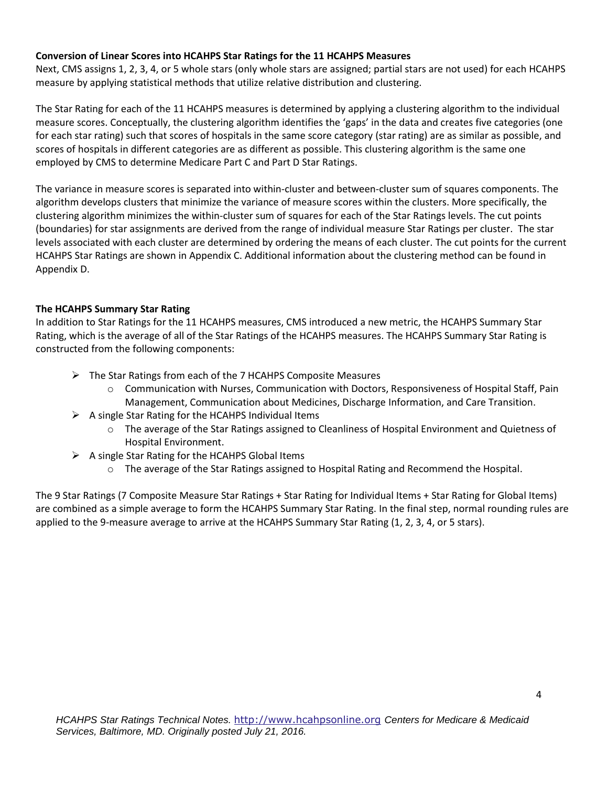#### **Conversion of Linear Scores into HCAHPS Star Ratings for the 11 HCAHPS Measures**

Next, CMS assigns 1, 2, 3, 4, or 5 whole stars (only whole stars are assigned; partial stars are not used) for each HCAHPS measure by applying statistical methods that utilize relative distribution and clustering.

The Star Rating for each of the 11 HCAHPS measures is determined by applying a clustering algorithm to the individual measure scores. Conceptually, the clustering algorithm identifies the 'gaps' in the data and creates five categories (one for each star rating) such that scores of hospitals in the same score category (star rating) are as similar as possible, and scores of hospitals in different categories are as different as possible. This clustering algorithm is the same one employed by CMS to determine Medicare Part C and Part D Star Ratings.

The variance in measure scores is separated into within-cluster and between-cluster sum of squares components. The algorithm develops clusters that minimize the variance of measure scores within the clusters. More specifically, the clustering algorithm minimizes the within-cluster sum of squares for each of the Star Ratings levels. The cut points (boundaries) for star assignments are derived from the range of individual measure Star Ratings per cluster. The star levels associated with each cluster are determined by ordering the means of each cluster. The cut points for the current HCAHPS Star Ratings are shown in Appendix C. Additional information about the clustering method can be found in Appendix D.

#### **The HCAHPS Summary Star Rating**

In addition to Star Ratings for the 11 HCAHPS measures, CMS introduced a new metric, the HCAHPS Summary Star Rating, which is the average of all of the Star Ratings of the HCAHPS measures. The HCAHPS Summary Star Rating is constructed from the following components:

- $\triangleright$  The Star Ratings from each of the 7 HCAHPS Composite Measures
	- o Communication with Nurses, Communication with Doctors, Responsiveness of Hospital Staff, Pain Management, Communication about Medicines, Discharge Information, and Care Transition.
- $\triangleright$  A single Star Rating for the HCAHPS Individual Items
	- o The average of the Star Ratings assigned to Cleanliness of Hospital Environment and Quietness of Hospital Environment.
- $\triangleright$  A single Star Rating for the HCAHPS Global Items
	- o The average of the Star Ratings assigned to Hospital Rating and Recommend the Hospital.

The 9 Star Ratings (7 Composite Measure Star Ratings + Star Rating for Individual Items + Star Rating for Global Items) are combined as a simple average to form the HCAHPS Summary Star Rating. In the final step, normal rounding rules are applied to the 9-measure average to arrive at the HCAHPS Summary Star Rating (1, 2, 3, 4, or 5 stars).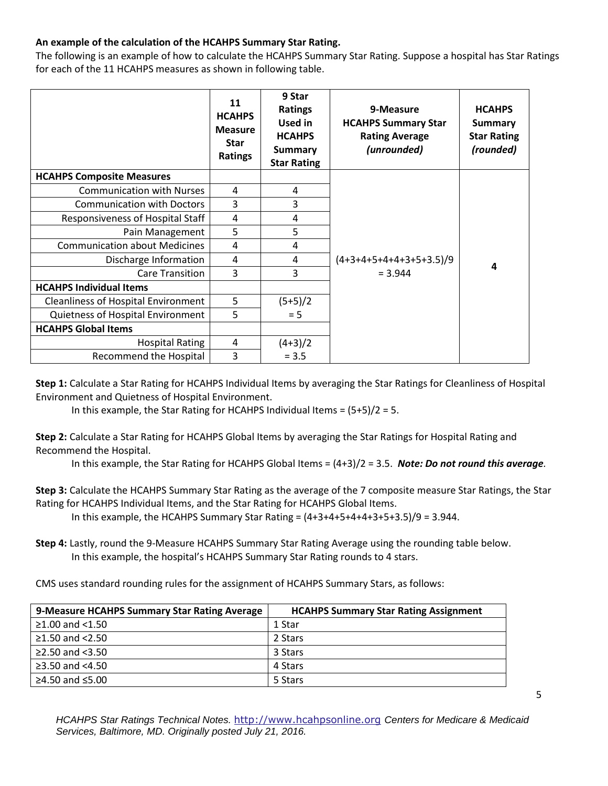## **An example of the calculation of the HCAHPS Summary Star Rating.**

The following is an example of how to calculate the HCAHPS Summary Star Rating. Suppose a hospital has Star Ratings for each of the 11 HCAHPS measures as shown in following table.

|                                            | 11<br><b>HCAHPS</b><br><b>Measure</b><br><b>Star</b><br>Ratings | 9 Star<br><b>Ratings</b><br><b>Used in</b><br><b>HCAHPS</b><br><b>Summary</b><br><b>Star Rating</b> | 9-Measure<br><b>HCAHPS Summary Star</b><br><b>Rating Average</b><br>(unrounded) | <b>HCAHPS</b><br><b>Summary</b><br><b>Star Rating</b><br>(rounded) |
|--------------------------------------------|-----------------------------------------------------------------|-----------------------------------------------------------------------------------------------------|---------------------------------------------------------------------------------|--------------------------------------------------------------------|
| <b>HCAHPS Composite Measures</b>           |                                                                 |                                                                                                     |                                                                                 |                                                                    |
| <b>Communication with Nurses</b>           | 4                                                               | 4                                                                                                   |                                                                                 |                                                                    |
| <b>Communication with Doctors</b>          | 3                                                               | 3                                                                                                   |                                                                                 |                                                                    |
| Responsiveness of Hospital Staff           | 4                                                               | 4                                                                                                   |                                                                                 |                                                                    |
| Pain Management                            | 5                                                               | 5                                                                                                   |                                                                                 |                                                                    |
| <b>Communication about Medicines</b>       | 4                                                               | 4                                                                                                   |                                                                                 |                                                                    |
| Discharge Information                      | 4                                                               | 4                                                                                                   | $(4+3+4+5+4+4+3+5+3.5)/9$                                                       | 4                                                                  |
| <b>Care Transition</b>                     | 3                                                               | 3                                                                                                   | $= 3.944$                                                                       |                                                                    |
| <b>HCAHPS Individual Items</b>             |                                                                 |                                                                                                     |                                                                                 |                                                                    |
| <b>Cleanliness of Hospital Environment</b> | 5                                                               | $(5+5)/2$                                                                                           |                                                                                 |                                                                    |
| Quietness of Hospital Environment          | 5                                                               | $= 5$                                                                                               |                                                                                 |                                                                    |
| <b>HCAHPS Global Items</b>                 |                                                                 |                                                                                                     |                                                                                 |                                                                    |
| <b>Hospital Rating</b>                     | 4                                                               | $(4+3)/2$                                                                                           |                                                                                 |                                                                    |
| Recommend the Hospital                     | 3                                                               | $= 3.5$                                                                                             |                                                                                 |                                                                    |

**Step 1:** Calculate a Star Rating for HCAHPS Individual Items by averaging the Star Ratings for Cleanliness of Hospital Environment and Quietness of Hospital Environment.

In this example, the Star Rating for HCAHPS Individual Items =  $(5+5)/2 = 5$ .

**Step 2:** Calculate a Star Rating for HCAHPS Global Items by averaging the Star Ratings for Hospital Rating and Recommend the Hospital.

In this example, the Star Rating for HCAHPS Global Items = (4+3)/2 = 3.5. *Note: Do not round this average.*

**Step 3:** Calculate the HCAHPS Summary Star Rating as the average of the 7 composite measure Star Ratings, the Star Rating for HCAHPS Individual Items, and the Star Rating for HCAHPS Global Items.

In this example, the HCAHPS Summary Star Rating =  $(4+3+4+5+4+4+3+5+3.5)/9 = 3.944$ .

**Step 4:** Lastly, round the 9-Measure HCAHPS Summary Star Rating Average using the rounding table below. In this example, the hospital's HCAHPS Summary Star Rating rounds to 4 stars.

CMS uses standard rounding rules for the assignment of HCAHPS Summary Stars, as follows:

| 9-Measure HCAHPS Summary Star Rating Average | <b>HCAHPS Summary Star Rating Assignment</b> |
|----------------------------------------------|----------------------------------------------|
| $≥1.00$ and <1.50                            | 1 Star                                       |
| ≥1.50 and $<$ 2.50                           | 2 Stars                                      |
| $\geq$ 2.50 and <3.50                        | 3 Stars                                      |
| $\geq$ 3.50 and <4.50                        | 4 Stars                                      |
| ≥4.50 and ≤5.00                              | 5 Stars                                      |

*HCAHPS Star Ratings Technical Notes.* [http://www.hcahpsonline.org](http://www.hcahpsonline.org/) *Centers for Medicare & Medicaid Services, Baltimore, MD. Originally posted July 21, 2016.*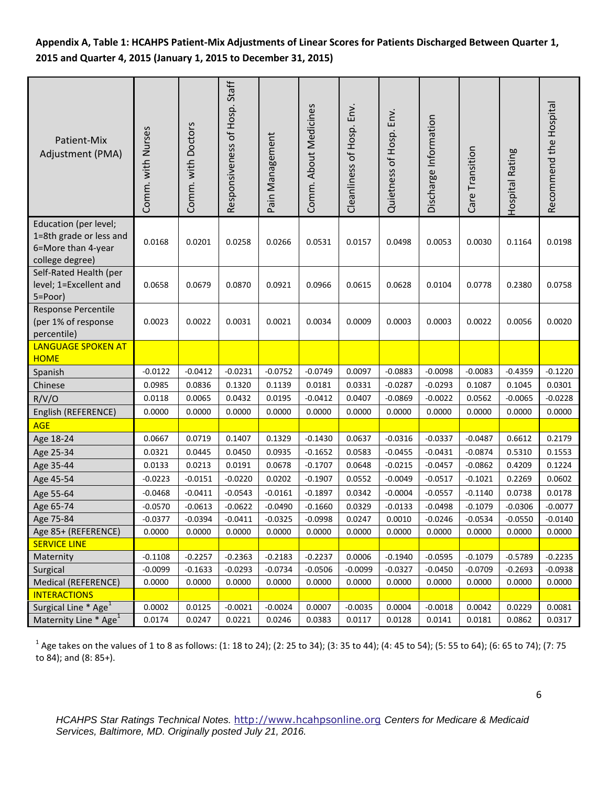## **Appendix A, Table 1: HCAHPS Patient-Mix Adjustments of Linear Scores for Patients Discharged Between Quarter 1, 2015 and Quarter 4, 2015 (January 1, 2015 to December 31, 2015)**

| Patient-Mix<br>Adjustment (PMA)                                                           | Comm. with Nurses | Comm. with Doctors | Responsiveness of Hosp. Staff | Pain Management | Comm. About Medicines | Cleanliness of Hosp. Env. | Quietness of Hosp. Env. | Discharge Information | Care Transition | Hospital Rating | Recommend the Hospital |
|-------------------------------------------------------------------------------------------|-------------------|--------------------|-------------------------------|-----------------|-----------------------|---------------------------|-------------------------|-----------------------|-----------------|-----------------|------------------------|
| Education (per level;<br>1=8th grade or less and<br>6=More than 4-year<br>college degree) | 0.0168            | 0.0201             | 0.0258                        | 0.0266          | 0.0531                | 0.0157                    | 0.0498                  | 0.0053                | 0.0030          | 0.1164          | 0.0198                 |
| Self-Rated Health (per<br>level; 1=Excellent and<br>5=Poor)                               | 0.0658            | 0.0679             | 0.0870                        | 0.0921          | 0.0966                | 0.0615                    | 0.0628                  | 0.0104                | 0.0778          | 0.2380          | 0.0758                 |
| <b>Response Percentile</b><br>(per 1% of response<br>percentile)                          | 0.0023            | 0.0022             | 0.0031                        | 0.0021          | 0.0034                | 0.0009                    | 0.0003                  | 0.0003                | 0.0022          | 0.0056          | 0.0020                 |
| <b>LANGUAGE SPOKEN AT</b><br><b>HOME</b>                                                  |                   |                    |                               |                 |                       |                           |                         |                       |                 |                 |                        |
| Spanish                                                                                   | $-0.0122$         | $-0.0412$          | $-0.0231$                     | $-0.0752$       | $-0.0749$             | 0.0097                    | $-0.0883$               | $-0.0098$             | $-0.0083$       | $-0.4359$       | $-0.1220$              |
| Chinese                                                                                   | 0.0985            | 0.0836             | 0.1320                        | 0.1139          | 0.0181                | 0.0331                    | $-0.0287$               | $-0.0293$             | 0.1087          | 0.1045          | 0.0301                 |
| R/V/O                                                                                     | 0.0118            | 0.0065             | 0.0432                        | 0.0195          | $-0.0412$             | 0.0407                    | $-0.0869$               | $-0.0022$             | 0.0562          | $-0.0065$       | $-0.0228$              |
| English (REFERENCE)                                                                       | 0.0000            | 0.0000             | 0.0000                        | 0.0000          | 0.0000                | 0.0000                    | 0.0000                  | 0.0000                | 0.0000          | 0.0000          | 0.0000                 |
| <b>AGE</b>                                                                                |                   |                    |                               |                 |                       |                           |                         |                       |                 |                 |                        |
| Age 18-24                                                                                 | 0.0667            | 0.0719             | 0.1407                        | 0.1329          | $-0.1430$             | 0.0637                    | $-0.0316$               | $-0.0337$             | $-0.0487$       | 0.6612          | 0.2179                 |
| Age 25-34                                                                                 | 0.0321            | 0.0445             | 0.0450                        | 0.0935          | $-0.1652$             | 0.0583                    | $-0.0455$               | $-0.0431$             | $-0.0874$       | 0.5310          | 0.1553                 |
| Age 35-44                                                                                 | 0.0133            | 0.0213             | 0.0191                        | 0.0678          | $-0.1707$             | 0.0648                    | $-0.0215$               | $-0.0457$             | $-0.0862$       | 0.4209          | 0.1224                 |
| Age 45-54                                                                                 | $-0.0223$         | $-0.0151$          | $-0.0220$                     | 0.0202          | $-0.1907$             | 0.0552                    | $-0.0049$               | $-0.0517$             | $-0.1021$       | 0.2269          | 0.0602                 |
| Age 55-64                                                                                 | $-0.0468$         | $-0.0411$          | $-0.0543$                     | $-0.0161$       | $-0.1897$             | 0.0342                    | $-0.0004$               | $-0.0557$             | $-0.1140$       | 0.0738          | 0.0178                 |
| Age 65-74                                                                                 | $-0.0570$         | $-0.0613$          | $-0.0622$                     | $-0.0490$       | $-0.1660$             | 0.0329                    | $-0.0133$               | $-0.0498$             | $-0.1079$       | $-0.0306$       | $-0.0077$              |
| Age 75-84                                                                                 | $-0.0377$         | $-0.0394$          | $-0.0411$                     | $-0.0325$       | $-0.0998$             | 0.0247                    | 0.0010                  | $-0.0246$             | $-0.0534$       | $-0.0550$       | $-0.0140$              |
| Age 85+ (REFERENCE)                                                                       | 0.0000            | 0.0000             | 0.0000                        | 0.0000          | 0.0000                | 0.0000                    | 0.0000                  | 0.0000                | 0.0000          | 0.0000          | 0.0000                 |
| <b>SERVICE LINE</b>                                                                       |                   |                    |                               |                 |                       |                           |                         |                       |                 |                 |                        |
| Maternity                                                                                 | $-0.1108$         | $-0.2257$          | $-0.2363$                     | $-0.2183$       | $-0.2237$             | 0.0006                    | $-0.1940$               | $-0.0595$             | $-0.1079$       | $-0.5789$       | $-0.2235$              |
| Surgical                                                                                  | $-0.0099$         | $-0.1633$          | $-0.0293$                     | $-0.0734$       | $-0.0506$             | $-0.0099$                 | $-0.0327$               | $-0.0450$             | $-0.0709$       | $-0.2693$       | $-0.0938$              |
| Medical (REFERENCE)                                                                       | 0.0000            | 0.0000             | 0.0000                        | 0.0000          | 0.0000                | 0.0000                    | 0.0000                  | 0.0000                | 0.0000          | 0.0000          | 0.0000                 |
| <b>INTERACTIONS</b>                                                                       |                   |                    |                               |                 |                       |                           |                         |                       |                 |                 |                        |
| Surgical Line <sup>*</sup> Age <sup>1</sup>                                               | 0.0002            | 0.0125             | $-0.0021$                     | $-0.0024$       | 0.0007                | $-0.0035$                 | 0.0004                  | $-0.0018$             | 0.0042          | 0.0229          | 0.0081                 |
| Maternity Line * Age <sup>1</sup>                                                         | 0.0174            | 0.0247             | 0.0221                        | 0.0246          | 0.0383                | 0.0117                    | 0.0128                  | 0.0141                | 0.0181          | 0.0862          | 0.0317                 |

 $^1$  Age takes on the values of 1 to 8 as follows: (1: 18 to 24); (2: 25 to 34); (3: 35 to 44); (4: 45 to 54); (5: 55 to 64); (6: 65 to 74); (7: 75 to 84); and (8: 85+).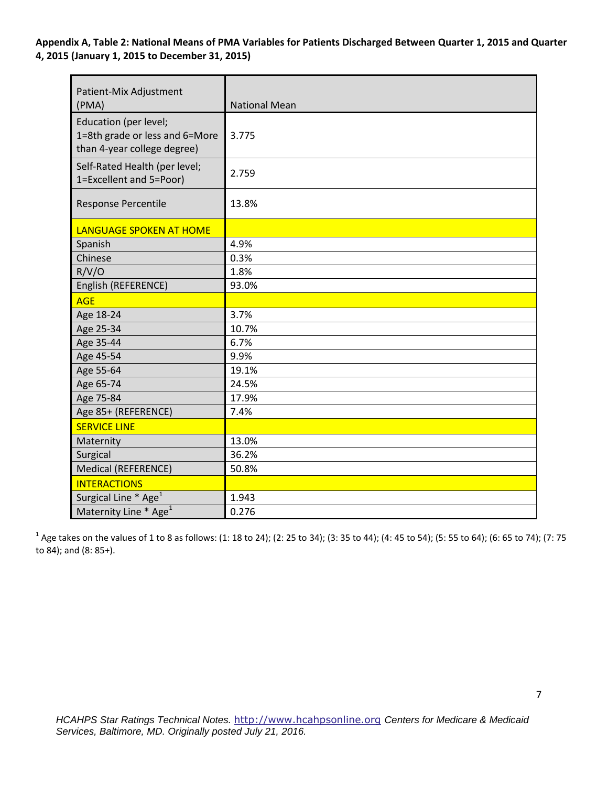**Appendix A, Table 2: National Means of PMA Variables for Patients Discharged Between Quarter 1, 2015 and Quarter 4, 2015 (January 1, 2015 to December 31, 2015)** 

| Patient-Mix Adjustment<br>(PMA)                                                        | <b>National Mean</b> |
|----------------------------------------------------------------------------------------|----------------------|
| Education (per level;<br>1=8th grade or less and 6=More<br>than 4-year college degree) | 3.775                |
| Self-Rated Health (per level;<br>1=Excellent and 5=Poor)                               | 2.759                |
| <b>Response Percentile</b>                                                             | 13.8%                |
| <b>LANGUAGE SPOKEN AT HOME</b>                                                         |                      |
| Spanish                                                                                | 4.9%                 |
| Chinese                                                                                | 0.3%                 |
| R/V/O                                                                                  | 1.8%                 |
| English (REFERENCE)                                                                    | 93.0%                |
| <b>AGE</b>                                                                             |                      |
| Age 18-24                                                                              | 3.7%                 |
| Age 25-34                                                                              | 10.7%                |
| Age 35-44                                                                              | 6.7%                 |
| Age 45-54                                                                              | 9.9%                 |
| Age 55-64                                                                              | 19.1%                |
| Age 65-74                                                                              | 24.5%                |
| Age 75-84                                                                              | 17.9%                |
| Age 85+ (REFERENCE)                                                                    | 7.4%                 |
| <b>SERVICE LINE</b>                                                                    |                      |
| Maternity                                                                              | 13.0%                |
| Surgical                                                                               | 36.2%                |
| Medical (REFERENCE)                                                                    | 50.8%                |
| <b>INTERACTIONS</b>                                                                    |                      |
| Surgical Line * Age <sup>1</sup>                                                       | 1.943                |
| Maternity Line * Age <sup>1</sup>                                                      | 0.276                |

 $^1$  Age takes on the values of 1 to 8 as follows: (1: 18 to 24); (2: 25 to 34); (3: 35 to 44); (4: 45 to 54); (5: 55 to 64); (6: 65 to 74); (7: 75 to 84); and (8: 85+).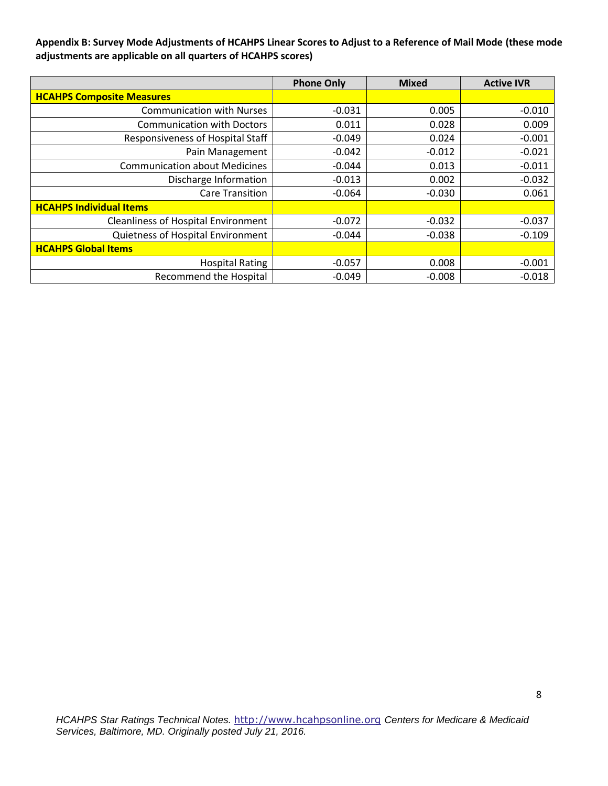**Appendix B: Survey Mode Adjustments of HCAHPS Linear Scores to Adjust to a Reference of Mail Mode (these mode adjustments are applicable on all quarters of HCAHPS scores)** 

|                                            | <b>Phone Only</b> | <b>Mixed</b> | <b>Active IVR</b> |
|--------------------------------------------|-------------------|--------------|-------------------|
| <b>HCAHPS Composite Measures</b>           |                   |              |                   |
| <b>Communication with Nurses</b>           | $-0.031$          | 0.005        | $-0.010$          |
| <b>Communication with Doctors</b>          | 0.011             | 0.028        | 0.009             |
| Responsiveness of Hospital Staff           | $-0.049$          | 0.024        | $-0.001$          |
| Pain Management                            | $-0.042$          | $-0.012$     | $-0.021$          |
| <b>Communication about Medicines</b>       | $-0.044$          | 0.013        | $-0.011$          |
| Discharge Information                      | $-0.013$          | 0.002        | $-0.032$          |
| <b>Care Transition</b>                     | -0.064            | $-0.030$     | 0.061             |
| <b>HCAHPS Individual Items</b>             |                   |              |                   |
| <b>Cleanliness of Hospital Environment</b> | $-0.072$          | $-0.032$     | $-0.037$          |
| Quietness of Hospital Environment          | $-0.044$          | $-0.038$     | $-0.109$          |
| <b>HCAHPS Global Items</b>                 |                   |              |                   |
| <b>Hospital Rating</b>                     | $-0.057$          | 0.008        | $-0.001$          |
| <b>Recommend the Hospital</b>              | $-0.049$          | $-0.008$     | $-0.018$          |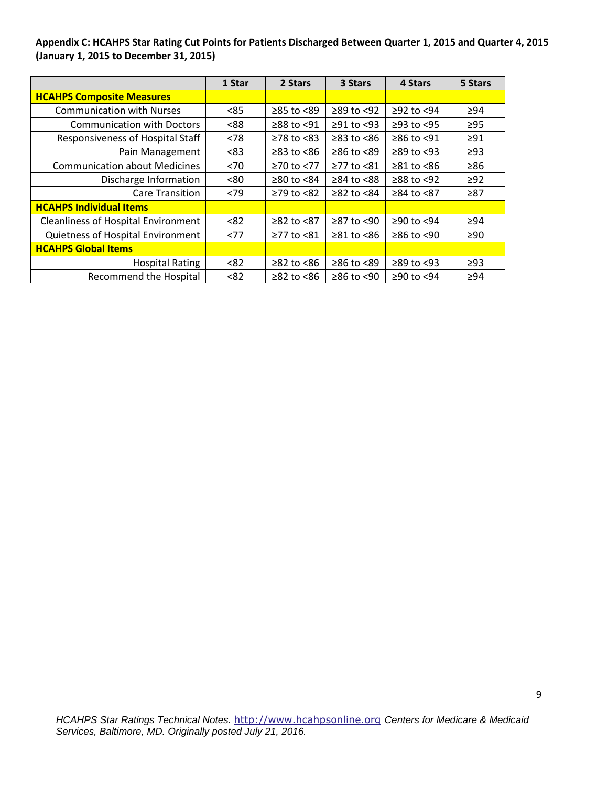**Appendix C: HCAHPS Star Rating Cut Points for Patients Discharged Between Quarter 1, 2015 and Quarter 4, 2015 (January 1, 2015 to December 31, 2015)** 

|                                            | 1 Star | 2 Stars                | 3 Stars          | 4 Stars          | 5 Stars   |
|--------------------------------------------|--------|------------------------|------------------|------------------|-----------|
| <b>HCAHPS Composite Measures</b>           |        |                        |                  |                  |           |
| <b>Communication with Nurses</b>           | < 85   | ≥85 to <89             | $≥89$ to <92     | $≥92$ to $<94$   | $\geq$ 94 |
| <b>Communication with Doctors</b>          | <88    | $\geq$ 88 to <91       | $≥91$ to <93     | $≥93$ to $<95$   | $\geq$ 95 |
| Responsiveness of Hospital Staff           | < 78   | $\geq$ 78 to <83       | $\geq$ 83 to <86 | ≥86 to <91       | $\geq 91$ |
| Pain Management                            | <83    | $\geq$ 83 to <86       | $≥86$ to <89     | $\geq$ 89 to <93 | $\geq$ 93 |
| <b>Communication about Medicines</b>       | < 70   | ≥70 to <77             | ≥77 to <81       | $\geq 81$ to <86 | $\geq 86$ |
| Discharge Information                      | <80    | $\geq 80$ to $\leq 84$ | $≥84$ to $≤88$   | $≥88$ to <92     | $\geq$ 92 |
| <b>Care Transition</b>                     | < 79   | $≥79$ to $≤82$         | $≥82$ to $≤84$   | ≥84 to <87       | $\geq 87$ |
| <b>HCAHPS Individual Items</b>             |        |                        |                  |                  |           |
| <b>Cleanliness of Hospital Environment</b> | < 82   | ≥82 to <87             | ≥87 to <90       | ≥90 to <94       | $\geq 94$ |
| Quietness of Hospital Environment          | <77    | ≥77 to <81             | $\geq$ 81 to <86 | $≥86$ to <90     | $\geq 90$ |
| <b>HCAHPS Global Items</b>                 |        |                        |                  |                  |           |
| <b>Hospital Rating</b>                     | < 82   | $≥82$ to $≤86$         | $≥86$ to $≤89$   | $\geq$ 89 to <93 | $\geq$ 93 |
| <b>Recommend the Hospital</b>              | < 82   | $≥82$ to $≤86$         | $≥86$ to <90     | ≥90 to <94       | $\geq 94$ |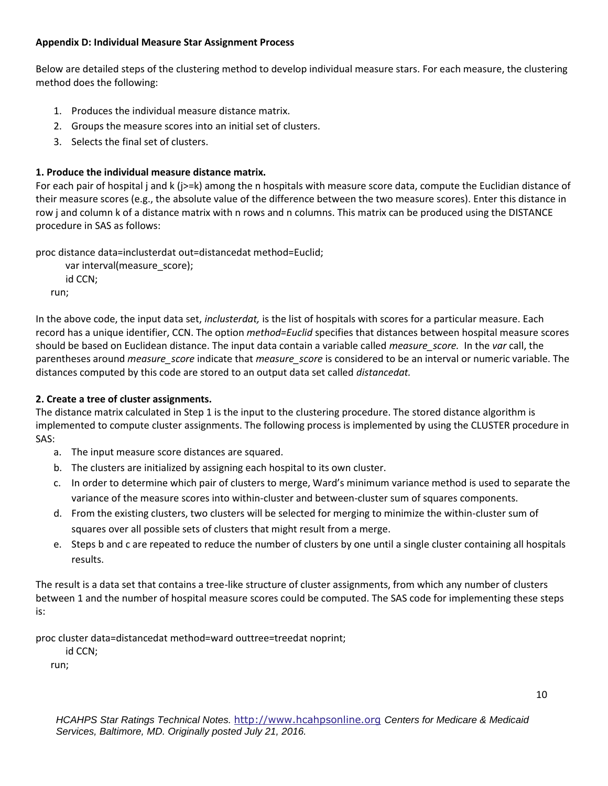#### **Appendix D: Individual Measure Star Assignment Process**

Below are detailed steps of the clustering method to develop individual measure stars. For each measure, the clustering method does the following:

- 1. Produces the individual measure distance matrix.
- 2. Groups the measure scores into an initial set of clusters.
- 3. Selects the final set of clusters.

## **1. Produce the individual measure distance matrix.**

For each pair of hospital j and k (j>=k) among the n hospitals with measure score data, compute the Euclidian distance of their measure scores (e.g., the absolute value of the difference between the two measure scores). Enter this distance in row j and column k of a distance matrix with n rows and n columns. This matrix can be produced using the DISTANCE procedure in SAS as follows:

proc distance data=inclusterdat out=distancedat method=Euclid;

```
 var interval(measure_score);
   id CCN;
run;
```
In the above code, the input data set, *inclusterdat,* is the list of hospitals with scores for a particular measure. Each record has a unique identifier, CCN. The option *method=Euclid* specifies that distances between hospital measure scores should be based on Euclidean distance. The input data contain a variable called *measure\_score.* In the *var* call, the parentheses around *measure\_score* indicate that *measure\_score* is considered to be an interval or numeric variable. The distances computed by this code are stored to an output data set called *distancedat.* 

## **2. Create a tree of cluster assignments.**

The distance matrix calculated in Step 1 is the input to the clustering procedure. The stored distance algorithm is implemented to compute cluster assignments. The following process is implemented by using the CLUSTER procedure in SAS:

- a. The input measure score distances are squared.
- b. The clusters are initialized by assigning each hospital to its own cluster.
- c. In order to determine which pair of clusters to merge, Ward's minimum variance method is used to separate the variance of the measure scores into within-cluster and between-cluster sum of squares components.
- d. From the existing clusters, two clusters will be selected for merging to minimize the within-cluster sum of squares over all possible sets of clusters that might result from a merge.
- e. Steps b and c are repeated to reduce the number of clusters by one until a single cluster containing all hospitals results.

The result is a data set that contains a tree-like structure of cluster assignments, from which any number of clusters between 1 and the number of hospital measure scores could be computed. The SAS code for implementing these steps is:

proc cluster data=distancedat method=ward outtree=treedat noprint;

id CCN;

run;